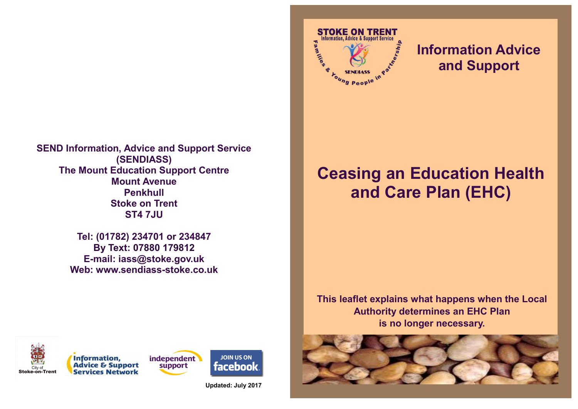

**Tel: (01782) 234701 or 234847 By Text: 07880 179812 E-mail: iass@stoke.gov.uk Web: www.sendiass-stoke.co.uk**



## **Information Advice and Support**

## **Ceasing an Education Health and Care Plan (EHC)**

**This leaflet explains what happens when the Local Authority determines an EHC Plan is no longer necessary.**









**Updated: July 2017**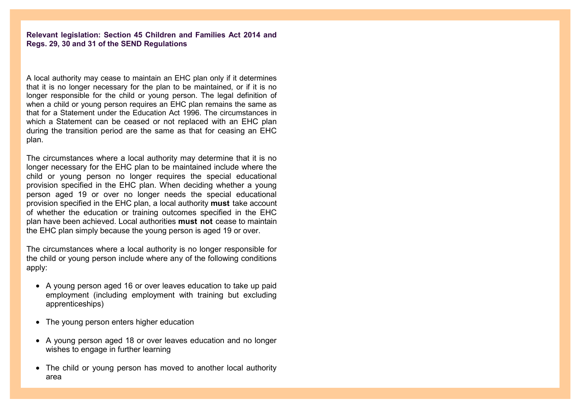**Relevant legislation: Section 45 Children and Families Act 2014 and Regs. 29, 30 and 31 of the SEND Regulations**

A local authority may cease to maintain an EHC plan only if it determines that it is no longer necessary for the plan to be maintained, or if it is no longer responsible for the child or young person. The legal definition of when a child or young person requires an EHC plan remains the same as that for a Statement under the Education Act 1996. The circumstances in which a Statement can be ceased or not replaced with an EHC plan during the transition period are the same as that for ceasing an EHC plan.

The circumstances where a local authority may determine that it is no longer necessary for the EHC plan to be maintained include where the child or young person no longer requires the special educational provision specified in the EHC plan. When deciding whether a young person aged 19 or over no longer needs the special educational provision specified in the EHC plan, a local authority **must** take account of whether the education or training outcomes specified in the EHC plan have been achieved. Local authorities **must not** cease to maintain the EHC plan simply because the young person is aged 19 or over.

The circumstances where a local authority is no longer responsible for the child or young person include where any of the following conditions apply:

- A young person aged 16 or over leaves education to take up paid employment (including employment with training but excluding apprenticeships)
- The young person enters higher education
- A young person aged 18 or over leaves education and no longer wishes to engage in further learning
- The child or young person has moved to another local authority area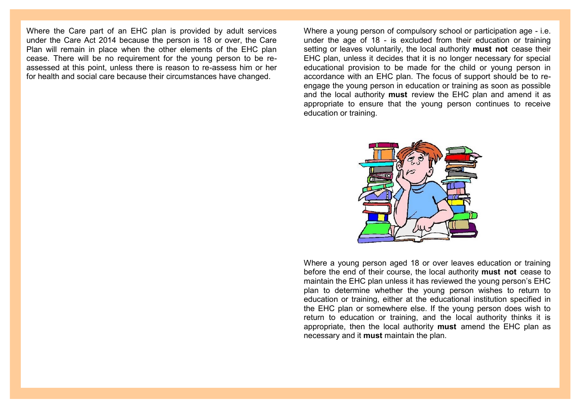Where the Care part of an EHC plan is provided by adult services under the Care Act 2014 because the person is 18 or over, the Care Plan will remain in place when the other elements of the EHC plan cease. There will be no requirement for the young person to be reassessed at this point, unless there is reason to re-assess him or her for health and social care because their circumstances have changed.

Where a young person of compulsory school or participation age - i.e. under the age of 18 - is excluded from their education or training setting or leaves voluntarily, the local authority **must not** cease their EHC plan, unless it decides that it is no longer necessary for special educational provision to be made for the child or young person in accordance with an EHC plan. The focus of support should be to reengage the young person in education or training as soon as possible and the local authority **must** review the EHC plan and amend it as appropriate to ensure that the young person continues to receive education or training.



Where a young person aged 18 or over leaves education or training before the end of their course, the local authority **must not** cease to maintain the EHC plan unless it has reviewed the young person's EHC plan to determine whether the young person wishes to return to education or training, either at the educational institution specified in the EHC plan or somewhere else. If the young person does wish to return to education or training, and the local authority thinks it is appropriate, then the local authority **must** amend the EHC plan as necessary and it **must** maintain the plan.